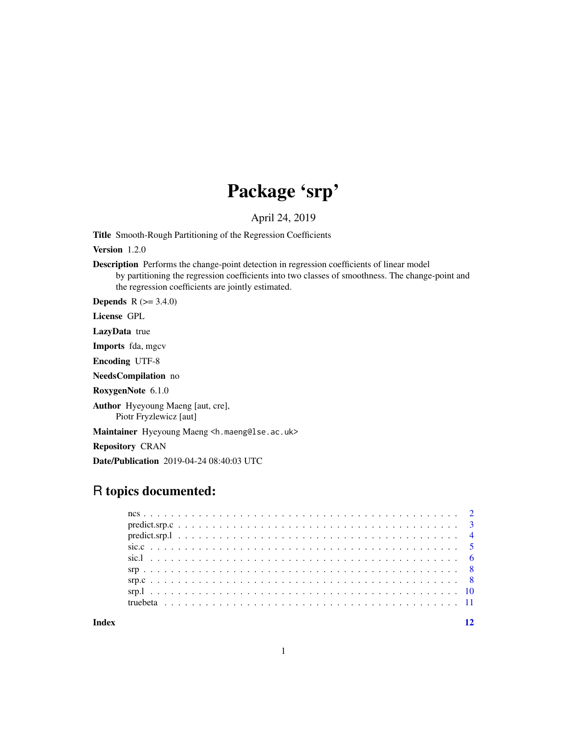# Package 'srp'

April 24, 2019

Title Smooth-Rough Partitioning of the Regression Coefficients

Version 1.2.0

Description Performs the change-point detection in regression coefficients of linear model by partitioning the regression coefficients into two classes of smoothness. The change-point and the regression coefficients are jointly estimated.

**Depends**  $R (=3.4.0)$ 

License GPL

LazyData true

Imports fda, mgcv

Encoding UTF-8

NeedsCompilation no

RoxygenNote 6.1.0

Author Hyeyoung Maeng [aut, cre], Piotr Fryzlewicz [aut]

Maintainer Hyeyoung Maeng <h.maeng@lse.ac.uk>

Repository CRAN

Date/Publication 2019-04-24 08:40:03 UTC

# R topics documented:

| $predict.srp.1$ |  |
|-----------------|--|
|                 |  |
|                 |  |
|                 |  |
|                 |  |
|                 |  |
|                 |  |
|                 |  |

**Index** [12](#page-11-0)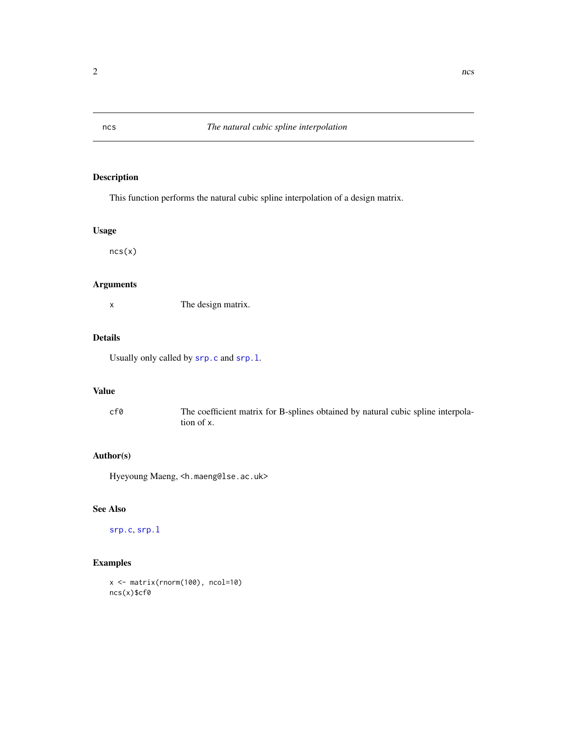This function performs the natural cubic spline interpolation of a design matrix.

#### Usage

ncs(x)

# Arguments

x The design matrix.

# Details

Usually only called by [srp.c](#page-7-1) and [srp.l](#page-9-1).

# Value

cf0 The coefficient matrix for B-splines obtained by natural cubic spline interpolation of x.

### Author(s)

Hyeyoung Maeng, <h.maeng@lse.ac.uk>

#### See Also

[srp.c](#page-7-1), [srp.l](#page-9-1)

# Examples

```
x <- matrix(rnorm(100), ncol=10)
ncs(x)$cf0
```
<span id="page-1-1"></span><span id="page-1-0"></span>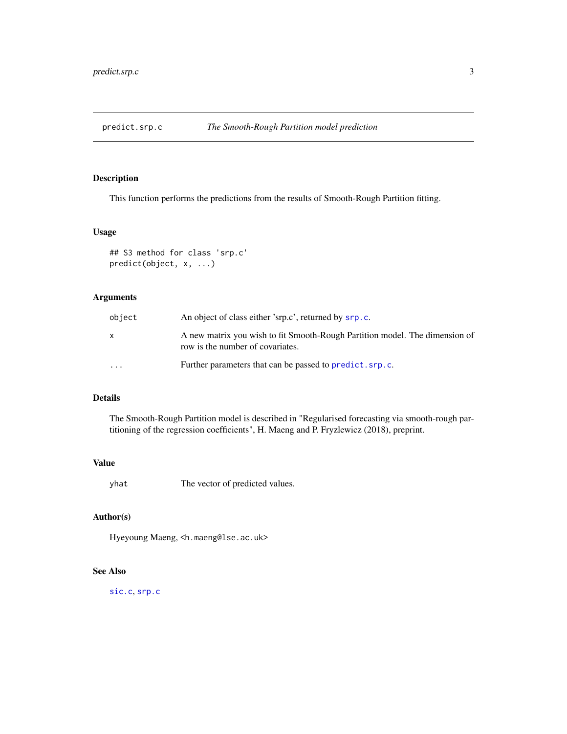<span id="page-2-1"></span><span id="page-2-0"></span>

This function performs the predictions from the results of Smooth-Rough Partition fitting.

#### Usage

```
## S3 method for class 'srp.c'
predict(object, x, ...)
```
## Arguments

| object   | An object of class either 'srp.c', returned by srp.c.                                                           |
|----------|-----------------------------------------------------------------------------------------------------------------|
| X        | A new matrix you wish to fit Smooth-Rough Partition model. The dimension of<br>row is the number of covariates. |
| $\cdots$ | Further parameters that can be passed to predict. srp.c.                                                        |

# Details

The Smooth-Rough Partition model is described in "Regularised forecasting via smooth-rough partitioning of the regression coefficients", H. Maeng and P. Fryzlewicz (2018), preprint.

#### Value

yhat The vector of predicted values.

# Author(s)

Hyeyoung Maeng, <h.maeng@lse.ac.uk>

# See Also

[sic.c](#page-4-1), [srp.c](#page-7-1)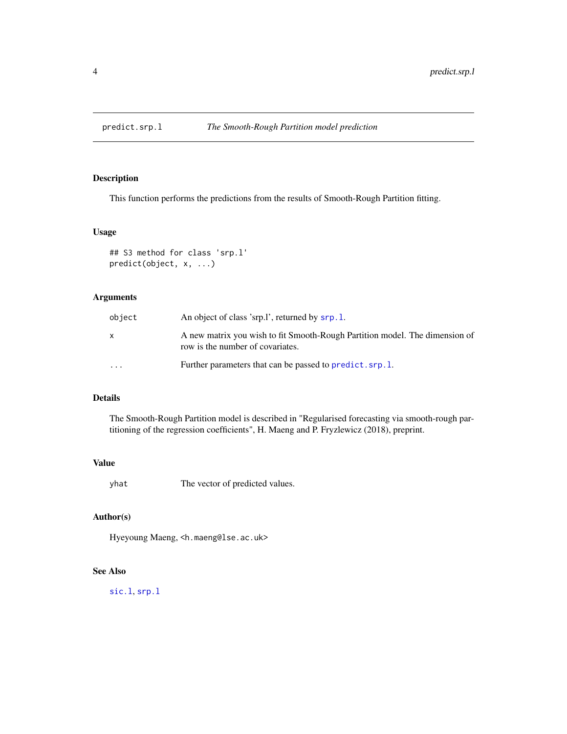<span id="page-3-1"></span><span id="page-3-0"></span>

This function performs the predictions from the results of Smooth-Rough Partition fitting.

#### Usage

```
## S3 method for class 'srp.l'
predict(object, x, ...)
```
## Arguments

| object   | An object of class 'srp.1', returned by srp.1.                                                                  |
|----------|-----------------------------------------------------------------------------------------------------------------|
| X        | A new matrix you wish to fit Smooth-Rough Partition model. The dimension of<br>row is the number of covariates. |
| $\cdots$ | Further parameters that can be passed to predict. srp.1.                                                        |

# Details

The Smooth-Rough Partition model is described in "Regularised forecasting via smooth-rough partitioning of the regression coefficients", H. Maeng and P. Fryzlewicz (2018), preprint.

#### Value

yhat The vector of predicted values.

# Author(s)

Hyeyoung Maeng, <h.maeng@lse.ac.uk>

# See Also

[sic.l](#page-5-1), [srp.l](#page-9-1)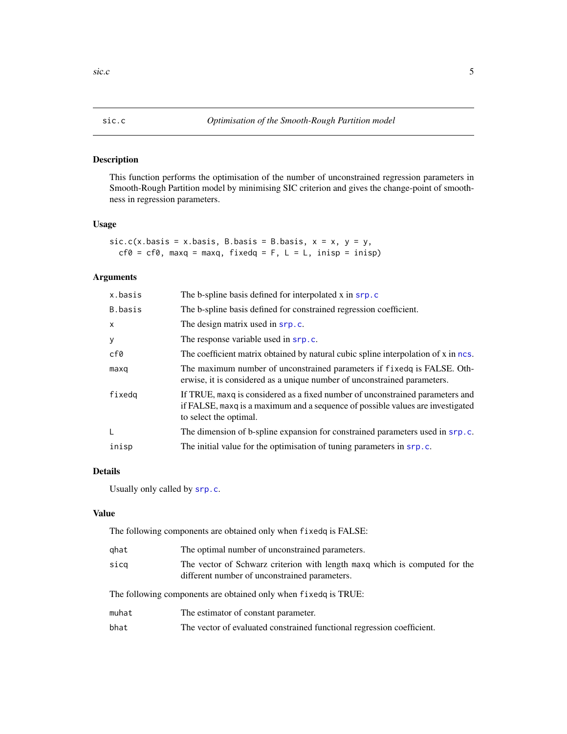<span id="page-4-1"></span><span id="page-4-0"></span>

This function performs the optimisation of the number of unconstrained regression parameters in Smooth-Rough Partition model by minimising SIC criterion and gives the change-point of smoothness in regression parameters.

# Usage

 $sic.c(x.basis = x.basis, B.basis = B.basis, x = x, y = y,$  $cf0 = cf0$ , maxq = maxq, fixedq = F, L = L, inisp = inisp)

# Arguments

| x.basis | The b-spline basis defined for interpolated x in srp.c                                                                                                                                    |
|---------|-------------------------------------------------------------------------------------------------------------------------------------------------------------------------------------------|
| B.basis | The b-spline basis defined for constrained regression coefficient.                                                                                                                        |
| x       | The design matrix used in srp.c.                                                                                                                                                          |
| у       | The response variable used in srp.c.                                                                                                                                                      |
| cf0     | The coefficient matrix obtained by natural cubic spline interpolation of x in ncs.                                                                                                        |
| maxq    | The maximum number of unconstrained parameters if fixed is FALSE. Oth-<br>erwise, it is considered as a unique number of unconstrained parameters.                                        |
| fixedq  | If TRUE, maxq is considered as a fixed number of unconstrained parameters and<br>if FALSE, maxq is a maximum and a sequence of possible values are investigated<br>to select the optimal. |
| L       | The dimension of b-spline expansion for constrained parameters used in srp.c.                                                                                                             |
| inisp   | The initial value for the optimisation of tuning parameters in srp.c.                                                                                                                     |

#### Details

Usually only called by [srp.c](#page-7-1).

#### Value

The following components are obtained only when fixedq is FALSE:

| qhat  | The optimal number of unconstrained parameters.                                                                             |  |
|-------|-----------------------------------------------------------------------------------------------------------------------------|--|
| sicg  | The vector of Schwarz criterion with length maxq which is computed for the<br>different number of unconstrained parameters. |  |
|       | The following components are obtained only when fixed q is TRUE:                                                            |  |
| muhat | The estimator of constant parameter.                                                                                        |  |
| bhat  | The vector of evaluated constrained functional regression coefficient.                                                      |  |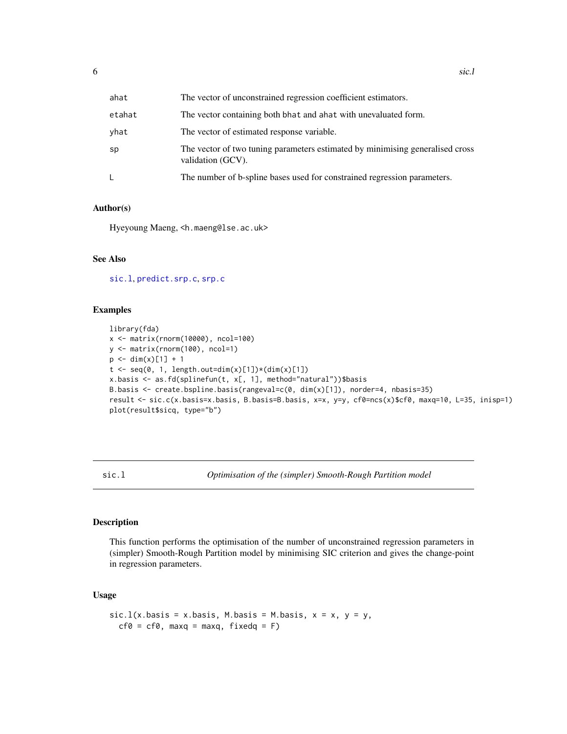<span id="page-5-0"></span>

| ahat   | The vector of unconstrained regression coefficient estimators.                                     |
|--------|----------------------------------------------------------------------------------------------------|
| etahat | The vector containing both bhat and ahat with unevaluated form.                                    |
| yhat   | The vector of estimated response variable.                                                         |
| sp     | The vector of two tuning parameters estimated by minimising generalised cross<br>validation (GCV). |
|        | The number of b-spline bases used for constrained regression parameters.                           |

#### Author(s)

Hyeyoung Maeng, <h.maeng@lse.ac.uk>

#### See Also

[sic.l](#page-5-1), [predict.srp.c](#page-2-1), [srp.c](#page-7-1)

#### Examples

```
library(fda)
x <- matrix(rnorm(10000), ncol=100)
y <- matrix(rnorm(100), ncol=1)
p \le -\dim(x)[1] + 1t \leq -\text{seq}(0, 1, \text{length.out-dim}(x)[1]) \times (\text{dim}(x)[1])x.basis <- as.fd(splinefun(t, x[, 1], method="natural"))$basis
B.basis <- create.bspline.basis(rangeval=c(0, dim(x)[1]), norder=4, nbasis=35)
result <- sic.c(x.basis=x.basis, B.basis=B.basis, x=x, y=y, cf0=ncs(x)$cf0, maxq=10, L=35, inisp=1)
plot(result$sicq, type="b")
```
<span id="page-5-1"></span>sic.l *Optimisation of the (simpler) Smooth-Rough Partition model*

#### Description

This function performs the optimisation of the number of unconstrained regression parameters in (simpler) Smooth-Rough Partition model by minimising SIC criterion and gives the change-point in regression parameters.

## Usage

```
sic.1(x.basis = x.basis, M.basis = M.basis, x = x, y = y,cf@ = cf@, maxq = maxq, fixedq = F)
```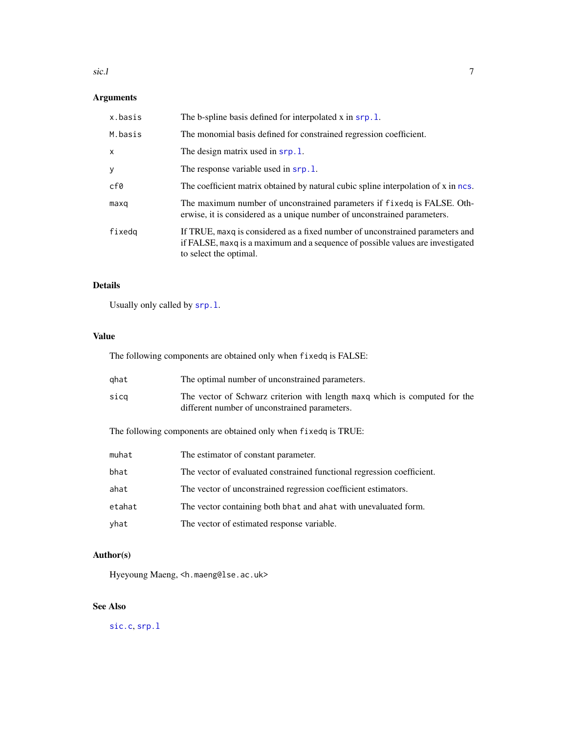#### <span id="page-6-0"></span> $\text{SiC.1}$  7

# Arguments

| x.basis      | The b-spline basis defined for interpolated x in srp.1.                                                                                                                                   |
|--------------|-------------------------------------------------------------------------------------------------------------------------------------------------------------------------------------------|
| M.basis      | The monomial basis defined for constrained regression coefficient.                                                                                                                        |
| $\mathsf{x}$ | The design matrix used in srp.1.                                                                                                                                                          |
| y            | The response variable used in srp.1.                                                                                                                                                      |
| cf0          | The coefficient matrix obtained by natural cubic spline interpolation of x in ncs.                                                                                                        |
| maxq         | The maximum number of unconstrained parameters if fixed q is FALSE. Oth-<br>erwise, it is considered as a unique number of unconstrained parameters.                                      |
| fixedq       | If TRUE, maxq is considered as a fixed number of unconstrained parameters and<br>if FALSE, maxq is a maximum and a sequence of possible values are investigated<br>to select the optimal. |

# Details

Usually only called by [srp.l](#page-9-1).

# Value

The following components are obtained only when fixedq is FALSE:

| ghat | The optimal number of unconstrained parameters.                                                                             |
|------|-----------------------------------------------------------------------------------------------------------------------------|
| sica | The vector of Schwarz criterion with length maxq which is computed for the<br>different number of unconstrained parameters. |

The following components are obtained only when fixedq is TRUE:

| muhat  | The estimator of constant parameter.                                   |
|--------|------------------------------------------------------------------------|
| bhat   | The vector of evaluated constrained functional regression coefficient. |
| ahat   | The vector of unconstrained regression coefficient estimators.         |
| etahat | The vector containing both bhat and a hat with unevaluated form.       |
| yhat   | The vector of estimated response variable.                             |

# Author(s)

Hyeyoung Maeng, <h.maeng@lse.ac.uk>

# See Also

[sic.c](#page-4-1), [srp.l](#page-9-1)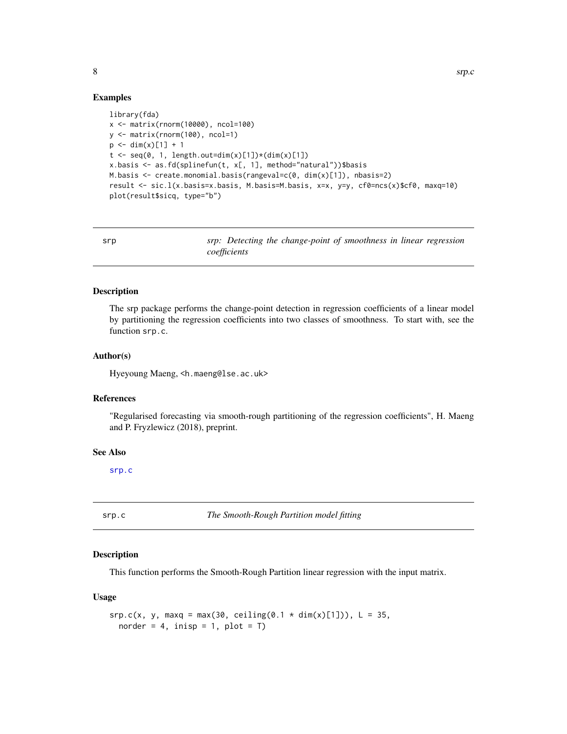#### Examples

```
library(fda)
x <- matrix(rnorm(10000), ncol=100)
y <- matrix(rnorm(100), ncol=1)
p \le -\dim(x)[1] + 1t \leq -\text{seq}(0, 1, \text{length.out=dim}(x)[1]) * (\text{dim}(x)[1])x.basis <- as.fd(splinefun(t, x[, 1], method="natural"))$basis
M.basis <- create.monomial.basis(rangeval=c(0, dim(x)[1]), nbasis=2)
result <- sic.l(x.basis=x.basis, M.basis=M.basis, x=x, y=y, cf0=ncs(x)$cf0, maxq=10)
plot(result$sicq, type="b")
```

| srp |              | srp: Detecting the change-point of smoothness in linear regression |  |  |  |
|-----|--------------|--------------------------------------------------------------------|--|--|--|
|     | coefficients |                                                                    |  |  |  |

#### Description

The srp package performs the change-point detection in regression coefficients of a linear model by partitioning the regression coefficients into two classes of smoothness. To start with, see the function srp.c.

#### Author(s)

Hyeyoung Maeng, <h.maeng@lse.ac.uk>

#### References

"Regularised forecasting via smooth-rough partitioning of the regression coefficients", H. Maeng and P. Fryzlewicz (2018), preprint.

#### See Also

[srp.c](#page-7-1)

<span id="page-7-1"></span>srp.c *The Smooth-Rough Partition model fitting*

#### Description

This function performs the Smooth-Rough Partition linear regression with the input matrix.

#### Usage

```
srp.c(x, y, maxq = max(30, ceiling(0.1 * dim(x)[1])), L = 35,norder = 4, inisp = 1, plot = T)
```
<span id="page-7-0"></span>8 srp.c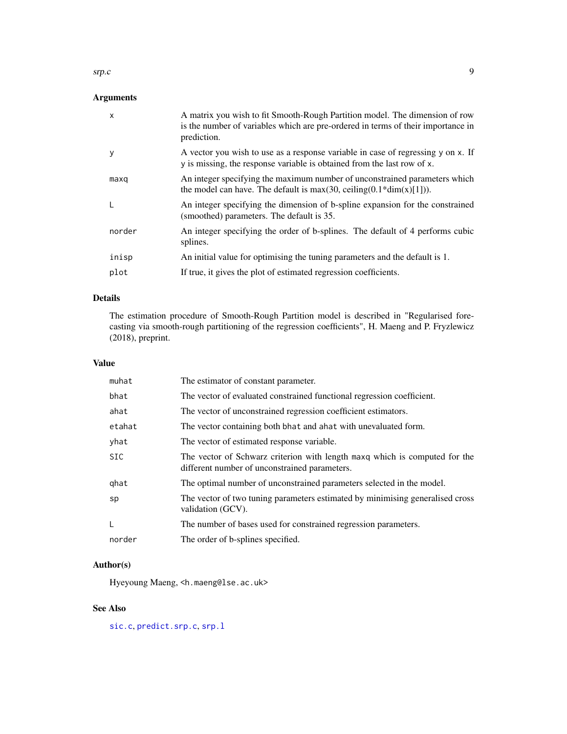#### <span id="page-8-0"></span>srp.c 9

# Arguments

| $\mathsf{x}$ | A matrix you wish to fit Smooth-Rough Partition model. The dimension of row<br>is the number of variables which are pre-ordered in terms of their importance in<br>prediction. |
|--------------|--------------------------------------------------------------------------------------------------------------------------------------------------------------------------------|
| У            | A vector you wish to use as a response variable in case of regressing y on x. If<br>y is missing, the response variable is obtained from the last row of x.                    |
| maxq         | An integer specifying the maximum number of unconstrained parameters which<br>the model can have. The default is $max(30, ceiling(0.1 * dim(x)[1]))$ .                         |
| I.           | An integer specifying the dimension of b-spline expansion for the constrained<br>(smoothed) parameters. The default is 35.                                                     |
| norder       | An integer specifying the order of b-splines. The default of 4 performs cubic<br>splines.                                                                                      |
| inisp        | An initial value for optimising the tuning parameters and the default is 1.                                                                                                    |
| plot         | If true, it gives the plot of estimated regression coefficients.                                                                                                               |

# Details

The estimation procedure of Smooth-Rough Partition model is described in "Regularised forecasting via smooth-rough partitioning of the regression coefficients", H. Maeng and P. Fryzlewicz (2018), preprint.

# Value

| muhat      | The estimator of constant parameter.                                                                                        |
|------------|-----------------------------------------------------------------------------------------------------------------------------|
| bhat       | The vector of evaluated constrained functional regression coefficient.                                                      |
| ahat       | The vector of unconstrained regression coefficient estimators.                                                              |
| etahat     | The vector containing both bhat and a hat with unevaluated form.                                                            |
| yhat       | The vector of estimated response variable.                                                                                  |
| <b>SIC</b> | The vector of Schwarz criterion with length maxq which is computed for the<br>different number of unconstrained parameters. |
| ghat       | The optimal number of unconstrained parameters selected in the model.                                                       |
| sp         | The vector of two tuning parameters estimated by minimising generalised cross<br>validation (GCV).                          |
|            | The number of bases used for constrained regression parameters.                                                             |
| norder     | The order of b-splines specified.                                                                                           |

# Author(s)

Hyeyoung Maeng, <h.maeng@lse.ac.uk>

# See Also

[sic.c](#page-4-1), [predict.srp.c](#page-2-1), [srp.l](#page-9-1)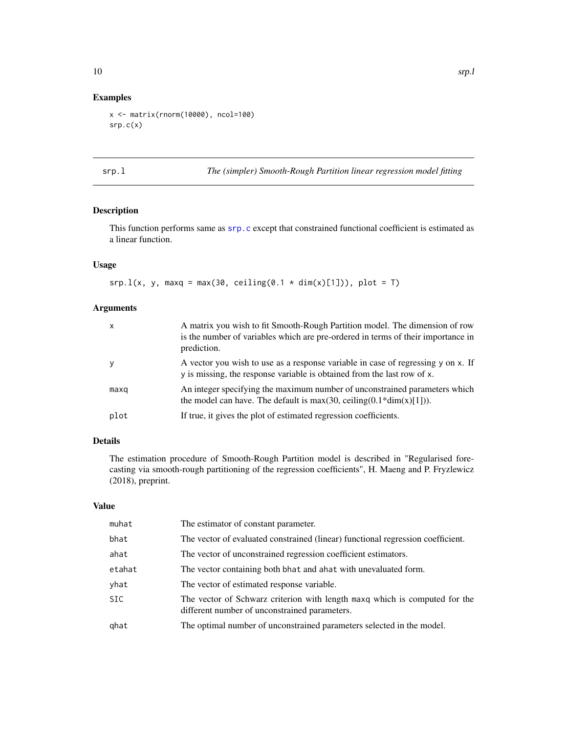# <span id="page-9-0"></span>Examples

```
x <- matrix(rnorm(10000), ncol=100)
srp.c(x)
```
<span id="page-9-1"></span>srp.l *The (simpler) Smooth-Rough Partition linear regression model fitting*

## Description

This function performs same as [srp.c](#page-7-1) except that constrained functional coefficient is estimated as a linear function.

# Usage

srp.l(x, y, maxq = max(30, ceiling(0.1  $*$  dim(x)[1])), plot = T)

#### Arguments

| $\times$ | A matrix you wish to fit Smooth-Rough Partition model. The dimension of row<br>is the number of variables which are pre-ordered in terms of their importance in<br>prediction. |
|----------|--------------------------------------------------------------------------------------------------------------------------------------------------------------------------------|
| V        | A vector you wish to use as a response variable in case of regressing y on x. If<br>y is missing, the response variable is obtained from the last row of x.                    |
| maxq     | An integer specifying the maximum number of unconstrained parameters which<br>the model can have. The default is max(30, ceiling( $0.1*dim(x)[1])$ ).                          |
| plot     | If true, it gives the plot of estimated regression coefficients.                                                                                                               |

# Details

The estimation procedure of Smooth-Rough Partition model is described in "Regularised forecasting via smooth-rough partitioning of the regression coefficients", H. Maeng and P. Fryzlewicz (2018), preprint.

#### Value

| muhat  | The estimator of constant parameter.                                                                                        |
|--------|-----------------------------------------------------------------------------------------------------------------------------|
| bhat   | The vector of evaluated constrained (linear) functional regression coefficient.                                             |
| ahat   | The vector of unconstrained regression coefficient estimators.                                                              |
| etahat | The vector containing both bhat and ahat with unevaluated form.                                                             |
| yhat   | The vector of estimated response variable.                                                                                  |
| SIC.   | The vector of Schwarz criterion with length maxq which is computed for the<br>different number of unconstrained parameters. |
| qhat   | The optimal number of unconstrained parameters selected in the model.                                                       |
|        |                                                                                                                             |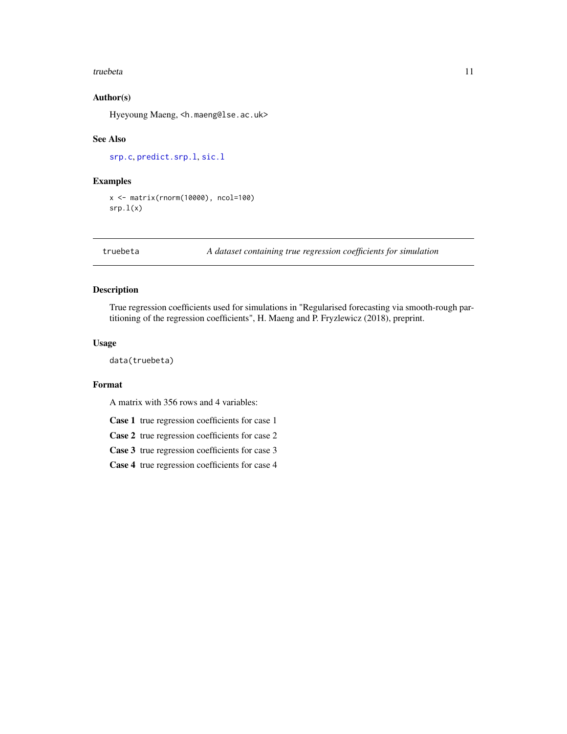#### <span id="page-10-0"></span>truebeta 11

# Author(s)

Hyeyoung Maeng, <h.maeng@lse.ac.uk>

#### See Also

[srp.c](#page-7-1), [predict.srp.l](#page-3-1), [sic.l](#page-5-1)

#### Examples

```
x <- matrix(rnorm(10000), ncol=100)
srp.1(x)
```
truebeta *A dataset containing true regression coefficients for simulation*

# Description

True regression coefficients used for simulations in "Regularised forecasting via smooth-rough partitioning of the regression coefficients", H. Maeng and P. Fryzlewicz (2018), preprint.

#### Usage

data(truebeta)

#### Format

A matrix with 356 rows and 4 variables:

Case 1 true regression coefficients for case 1

Case 2 true regression coefficients for case 2

Case 3 true regression coefficients for case 3

Case 4 true regression coefficients for case 4